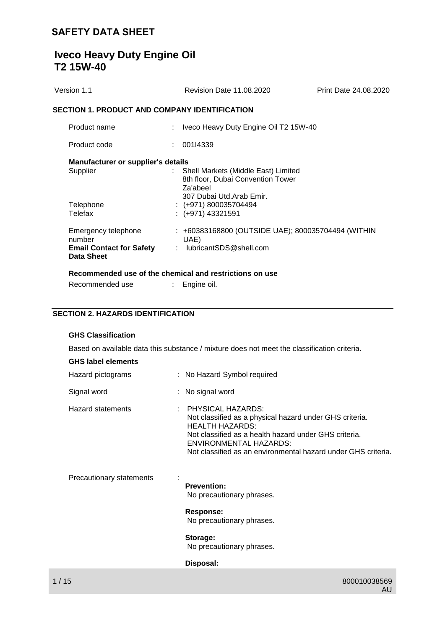# **Iveco Heavy Duty Engine Oil T2 15W-40**

| Version 1.1                                          | <b>Revision Date 11.08.2020</b>                                                                                  | Print Date 24.08.2020 |  |  |  |
|------------------------------------------------------|------------------------------------------------------------------------------------------------------------------|-----------------------|--|--|--|
| <b>SECTION 1. PRODUCT AND COMPANY IDENTIFICATION</b> |                                                                                                                  |                       |  |  |  |
| Product name                                         | Iveco Heavy Duty Engine Oil T2 15W-40                                                                            |                       |  |  |  |
| Product code                                         | 001I4339                                                                                                         |                       |  |  |  |
| <b>Manufacturer or supplier's details</b>            |                                                                                                                  |                       |  |  |  |
| Supplier                                             | Shell Markets (Middle East) Limited<br>8th floor, Dubai Convention Tower<br>Za'abeel<br>307 Dubai Utd.Arab Emir. |                       |  |  |  |
| Telephone                                            | $:(+971)800035704494$                                                                                            |                       |  |  |  |
| Telefax                                              | $:(+971)$ 43321591                                                                                               |                       |  |  |  |
| Emergency telephone<br>number                        | : +60383168800 (OUTSIDE UAE); 800035704494 (WITHIN<br>UAE)                                                       |                       |  |  |  |
| <b>Email Contact for Safety</b><br>Data Sheet        | lubricantSDS@shell.com<br>÷                                                                                      |                       |  |  |  |
|                                                      | Recommended use of the chemical and restrictions on use                                                          |                       |  |  |  |

# Recommended use : Engine oil.

# **SECTION 2. HAZARDS IDENTIFICATION**

## **GHS Classification**

Based on available data this substance / mixture does not meet the classification criteria.

| <b>GHS label elements</b> |  |
|---------------------------|--|
|---------------------------|--|

| Hazard pictograms        | : No Hazard Symbol required                                                                                                                                                                                                                                       |
|--------------------------|-------------------------------------------------------------------------------------------------------------------------------------------------------------------------------------------------------------------------------------------------------------------|
| Signal word              | : No signal word                                                                                                                                                                                                                                                  |
| <b>Hazard statements</b> | <b>PHYSICAL HAZARDS:</b><br>Not classified as a physical hazard under GHS criteria.<br><b>HEALTH HAZARDS:</b><br>Not classified as a health hazard under GHS criteria.<br>ENVIRONMENTAL HAZARDS:<br>Not classified as an environmental hazard under GHS criteria. |
| Precautionary statements | <b>Prevention:</b><br>No precautionary phrases.                                                                                                                                                                                                                   |
|                          | Response:<br>No precautionary phrases.                                                                                                                                                                                                                            |
|                          | Storage:<br>No precautionary phrases.                                                                                                                                                                                                                             |
|                          | Disposal:                                                                                                                                                                                                                                                         |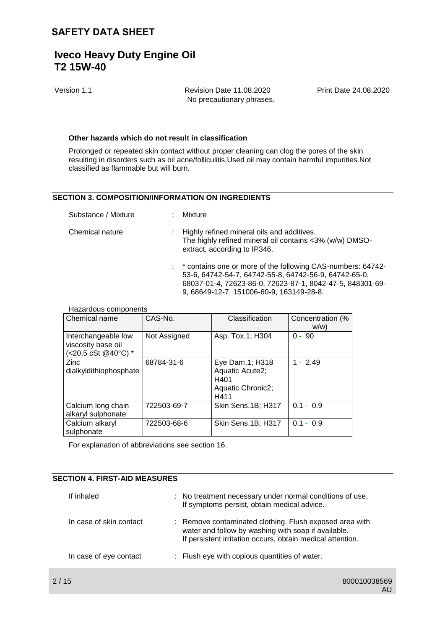Version 1.1 Revision Date 11.08.2020 Print Date 24.08.2020 No precautionary phrases.

### **Other hazards which do not result in classification**

Prolonged or repeated skin contact without proper cleaning can clog the pores of the skin resulting in disorders such as oil acne/folliculitis.Used oil may contain harmful impurities.Not classified as flammable but will burn.

## **SECTION 3. COMPOSITION/INFORMATION ON INGREDIENTS**

| Substance / Mixture | : Mixture                                                                                                                                                                                                                       |
|---------------------|---------------------------------------------------------------------------------------------------------------------------------------------------------------------------------------------------------------------------------|
| Chemical nature     | : Highly refined mineral oils and additives.<br>The highly refined mineral oil contains <3% (w/w) DMSO-<br>extract, according to IP346.                                                                                         |
|                     | : * contains one or more of the following CAS-numbers: 64742-<br>53-6, 64742-54-7, 64742-55-8, 64742-56-9, 64742-65-0,<br>68037-01-4, 72623-86-0, 72623-87-1, 8042-47-5, 848301-69-<br>9, 68649-12-7, 151006-60-9, 163149-28-8. |

#### Hazardous components

| Chemical name                                                    | CAS-No.      | Classification                                                          | Concentration (%<br>w/w |
|------------------------------------------------------------------|--------------|-------------------------------------------------------------------------|-------------------------|
| Interchangeable low<br>viscosity base oil<br>(<20,5 cSt @40°C) * | Not Assigned | Asp. Tox.1; H304                                                        | $0 - 90$                |
| Zinc<br>dialkyldithiophosphate                                   | 68784-31-6   | Eye Dam.1; H318<br>Aquatic Acute2;<br>H401<br>Aquatic Chronic2;<br>H411 | $1 - 2.49$              |
| Calcium long chain<br>alkaryl sulphonate                         | 722503-69-7  | Skin Sens.1B; H317                                                      | $0.1 - 0.9$             |
| Calcium alkaryl<br>sulphonate                                    | 722503-68-6  | Skin Sens.1B; H317                                                      | $0.1 - 0.9$             |

For explanation of abbreviations see section 16.

## **SECTION 4. FIRST-AID MEASURES**

| If inhaled              | : No treatment necessary under normal conditions of use.<br>If symptoms persist, obtain medical advice.                                                                      |
|-------------------------|------------------------------------------------------------------------------------------------------------------------------------------------------------------------------|
| In case of skin contact | : Remove contaminated clothing. Flush exposed area with<br>water and follow by washing with soap if available.<br>If persistent irritation occurs, obtain medical attention. |
| In case of eye contact  | : Flush eye with copious quantities of water.                                                                                                                                |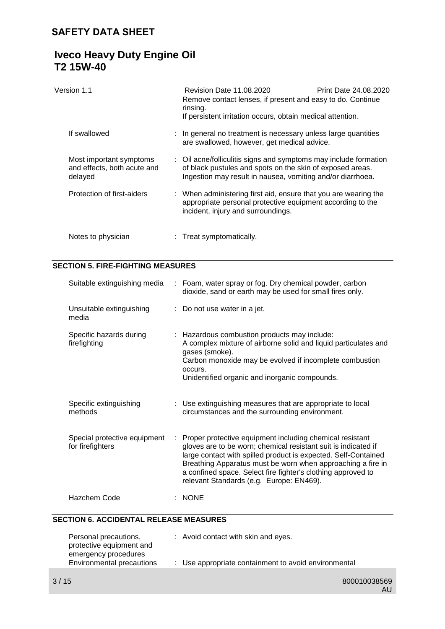| Version 1.1                                                       | Revision Date 11.08.2020                                                                                                                                                                    | Print Date 24.08.2020 |
|-------------------------------------------------------------------|---------------------------------------------------------------------------------------------------------------------------------------------------------------------------------------------|-----------------------|
|                                                                   | Remove contact lenses, if present and easy to do. Continue<br>rinsing.<br>If persistent irritation occurs, obtain medical attention.                                                        |                       |
| If swallowed                                                      | : In general no treatment is necessary unless large quantities<br>are swallowed, however, get medical advice.                                                                               |                       |
| Most important symptoms<br>and effects, both acute and<br>delayed | : Oil acne/folliculitis signs and symptoms may include formation<br>of black pustules and spots on the skin of exposed areas.<br>Ingestion may result in nausea, vomiting and/or diarrhoea. |                       |
| Protection of first-aiders                                        | : When administering first aid, ensure that you are wearing the<br>appropriate personal protective equipment according to the<br>incident, injury and surroundings.                         |                       |
| Notes to physician                                                | : Treat symptomatically.                                                                                                                                                                    |                       |

## **SECTION 5. FIRE-FIGHTING MEASURES**

| Suitable extinguishing media                     |    | : Foam, water spray or fog. Dry chemical powder, carbon<br>dioxide, sand or earth may be used for small fires only.                                                                                                                                                                                                                                                     |
|--------------------------------------------------|----|-------------------------------------------------------------------------------------------------------------------------------------------------------------------------------------------------------------------------------------------------------------------------------------------------------------------------------------------------------------------------|
| Unsuitable extinguishing<br>media                |    | : Do not use water in a jet.                                                                                                                                                                                                                                                                                                                                            |
| Specific hazards during<br>firefighting          |    | : Hazardous combustion products may include:<br>A complex mixture of airborne solid and liquid particulates and<br>gases (smoke).<br>Carbon monoxide may be evolved if incomplete combustion<br>occurs.<br>Unidentified organic and inorganic compounds.                                                                                                                |
| Specific extinguishing<br>methods                |    | : Use extinguishing measures that are appropriate to local<br>circumstances and the surrounding environment.                                                                                                                                                                                                                                                            |
| Special protective equipment<br>for firefighters | ÷. | Proper protective equipment including chemical resistant<br>gloves are to be worn; chemical resistant suit is indicated if<br>large contact with spilled product is expected. Self-Contained<br>Breathing Apparatus must be worn when approaching a fire in<br>a confined space. Select fire fighter's clothing approved to<br>relevant Standards (e.g. Europe: EN469). |
| Hazchem Code                                     |    | $:$ NONE                                                                                                                                                                                                                                                                                                                                                                |
| TION 6 ACCIDENTAL RELEASE MEASURES               |    |                                                                                                                                                                                                                                                                                                                                                                         |

# **SECTION 6. ACCIDENTAL RELEASE MEASURES**

| Personal precautions,<br>protective equipment and | : Avoid contact with skin and eyes.                  |
|---------------------------------------------------|------------------------------------------------------|
| emergency procedures<br>Environmental precautions | : Use appropriate containment to avoid environmental |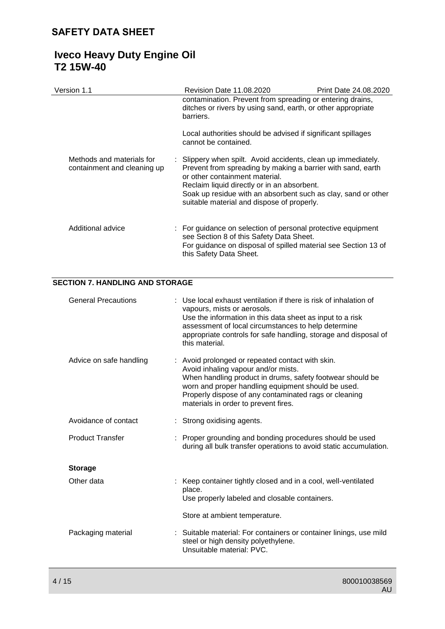| Version 1.1                                              | Revision Date 11.08.2020                                                                                                                                                                                                                                                                                                     | <b>Print Date 24.08.2020</b> |
|----------------------------------------------------------|------------------------------------------------------------------------------------------------------------------------------------------------------------------------------------------------------------------------------------------------------------------------------------------------------------------------------|------------------------------|
|                                                          | contamination. Prevent from spreading or entering drains,<br>ditches or rivers by using sand, earth, or other appropriate<br>barriers.                                                                                                                                                                                       |                              |
|                                                          | Local authorities should be advised if significant spillages<br>cannot be contained.                                                                                                                                                                                                                                         |                              |
| Methods and materials for<br>containment and cleaning up | : Slippery when spilt. Avoid accidents, clean up immediately.<br>Prevent from spreading by making a barrier with sand, earth<br>or other containment material.<br>Reclaim liquid directly or in an absorbent.<br>Soak up residue with an absorbent such as clay, sand or other<br>suitable material and dispose of properly. |                              |
| Additional advice                                        | : For guidance on selection of personal protective equipment<br>see Section 8 of this Safety Data Sheet.<br>For guidance on disposal of spilled material see Section 13 of<br>this Safety Data Sheet.                                                                                                                        |                              |

# **SECTION 7. HANDLING AND STORAGE**

| <b>General Precautions</b> | : Use local exhaust ventilation if there is risk of inhalation of<br>vapours, mists or aerosols.<br>Use the information in this data sheet as input to a risk<br>assessment of local circumstances to help determine<br>appropriate controls for safe handling, storage and disposal of<br>this material.   |
|----------------------------|-------------------------------------------------------------------------------------------------------------------------------------------------------------------------------------------------------------------------------------------------------------------------------------------------------------|
| Advice on safe handling    | : Avoid prolonged or repeated contact with skin.<br>Avoid inhaling vapour and/or mists.<br>When handling product in drums, safety footwear should be<br>worn and proper handling equipment should be used.<br>Properly dispose of any contaminated rags or cleaning<br>materials in order to prevent fires. |
| Avoidance of contact       | : Strong oxidising agents.                                                                                                                                                                                                                                                                                  |
| <b>Product Transfer</b>    | : Proper grounding and bonding procedures should be used<br>during all bulk transfer operations to avoid static accumulation.                                                                                                                                                                               |
| <b>Storage</b>             |                                                                                                                                                                                                                                                                                                             |
| Other data                 | : Keep container tightly closed and in a cool, well-ventilated<br>place.<br>Use properly labeled and closable containers.                                                                                                                                                                                   |
|                            | Store at ambient temperature.                                                                                                                                                                                                                                                                               |
| Packaging material         | : Suitable material: For containers or container linings, use mild<br>steel or high density polyethylene.<br>Unsuitable material: PVC.                                                                                                                                                                      |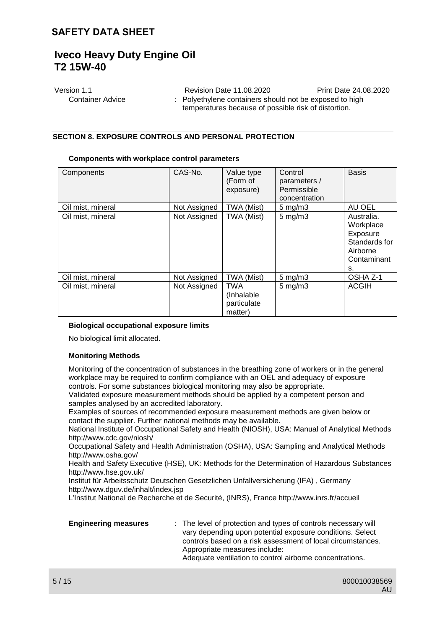| Version 1.1      | Revision Date 11.08.2020                                | Print Date 24.08.2020 |
|------------------|---------------------------------------------------------|-----------------------|
| Container Advice | : Polyethylene containers should not be exposed to high |                       |
|                  | temperatures because of possible risk of distortion.    |                       |

## **SECTION 8. EXPOSURE CONTROLS AND PERSONAL PROTECTION**

#### **Components with workplace control parameters**

| Components        | CAS-No.      | Value type<br>(Form of<br>exposure)                | Control<br>parameters /<br>Permissible<br>concentration | <b>Basis</b>                                                                          |
|-------------------|--------------|----------------------------------------------------|---------------------------------------------------------|---------------------------------------------------------------------------------------|
| Oil mist, mineral | Not Assigned | TWA (Mist)                                         | $5 \text{ mg/m}$                                        | AU OEL                                                                                |
| Oil mist, mineral | Not Assigned | TWA (Mist)                                         | $5$ mg/m $3$                                            | Australia.<br>Workplace<br>Exposure<br>Standards for<br>Airborne<br>Contaminant<br>s. |
| Oil mist, mineral | Not Assigned | TWA (Mist)                                         | $5 \text{ mg/m}$                                        | OSHA Z-1                                                                              |
| Oil mist, mineral | Not Assigned | <b>TWA</b><br>(Inhalable<br>particulate<br>matter) | $5$ mg/m $3$                                            | <b>ACGIH</b>                                                                          |

### **Biological occupational exposure limits**

No biological limit allocated.

### **Monitoring Methods**

Monitoring of the concentration of substances in the breathing zone of workers or in the general workplace may be required to confirm compliance with an OEL and adequacy of exposure controls. For some substances biological monitoring may also be appropriate.

Validated exposure measurement methods should be applied by a competent person and samples analysed by an accredited laboratory.

Examples of sources of recommended exposure measurement methods are given below or contact the supplier. Further national methods may be available.

National Institute of Occupational Safety and Health (NIOSH), USA: Manual of Analytical Methods http://www.cdc.gov/niosh/

Occupational Safety and Health Administration (OSHA), USA: Sampling and Analytical Methods http://www.osha.gov/

Health and Safety Executive (HSE), UK: Methods for the Determination of Hazardous Substances http://www.hse.gov.uk/

Institut für Arbeitsschutz Deutschen Gesetzlichen Unfallversicherung (IFA) , Germany http://www.dguv.de/inhalt/index.jsp

L'Institut National de Recherche et de Securité, (INRS), France http://www.inrs.fr/accueil

| <b>Engineering measures</b> | : The level of protection and types of controls necessary will<br>vary depending upon potential exposure conditions. Select<br>controls based on a risk assessment of local circumstances.<br>Appropriate measures include:<br>Adequate ventilation to control airborne concentrations. |
|-----------------------------|-----------------------------------------------------------------------------------------------------------------------------------------------------------------------------------------------------------------------------------------------------------------------------------------|
|                             |                                                                                                                                                                                                                                                                                         |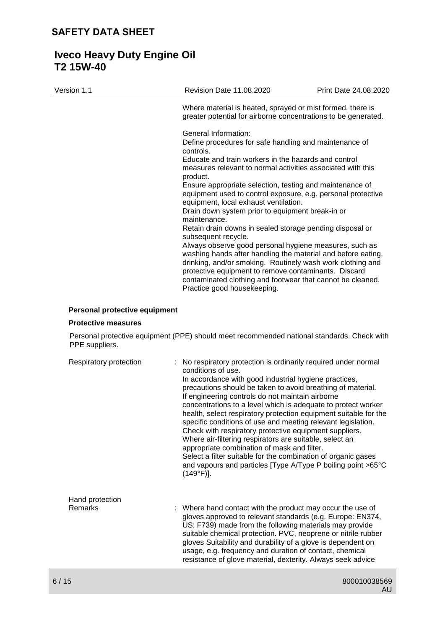| Version 1.1 | <b>Revision Date 11.08.2020</b>                                                                                                                                                                                                                                                                                                           | Print Date 24.08.2020 |
|-------------|-------------------------------------------------------------------------------------------------------------------------------------------------------------------------------------------------------------------------------------------------------------------------------------------------------------------------------------------|-----------------------|
|             | Where material is heated, sprayed or mist formed, there is<br>greater potential for airborne concentrations to be generated.                                                                                                                                                                                                              |                       |
|             | General Information:<br>Define procedures for safe handling and maintenance of<br>controls.                                                                                                                                                                                                                                               |                       |
|             | Educate and train workers in the hazards and control<br>measures relevant to normal activities associated with this<br>product.                                                                                                                                                                                                           |                       |
|             | Ensure appropriate selection, testing and maintenance of<br>equipment used to control exposure, e.g. personal protective<br>equipment, local exhaust ventilation.                                                                                                                                                                         |                       |
|             | Drain down system prior to equipment break-in or<br>maintenance.                                                                                                                                                                                                                                                                          |                       |
|             | Retain drain downs in sealed storage pending disposal or<br>subsequent recycle.                                                                                                                                                                                                                                                           |                       |
|             | Always observe good personal hygiene measures, such as<br>washing hands after handling the material and before eating,<br>drinking, and/or smoking. Routinely wash work clothing and<br>protective equipment to remove contaminants. Discard<br>contaminated clothing and footwear that cannot be cleaned.<br>Practice good housekeeping. |                       |

## **Personal protective equipment**

### **Protective measures**

Personal protective equipment (PPE) should meet recommended national standards. Check with PPE suppliers.

| Respiratory protection | : No respiratory protection is ordinarily required under normal<br>conditions of use.<br>In accordance with good industrial hygiene practices,<br>precautions should be taken to avoid breathing of material.<br>If engineering controls do not maintain airborne<br>concentrations to a level which is adequate to protect worker<br>health, select respiratory protection equipment suitable for the<br>specific conditions of use and meeting relevant legislation.<br>Check with respiratory protective equipment suppliers.<br>Where air-filtering respirators are suitable, select an<br>appropriate combination of mask and filter.<br>Select a filter suitable for the combination of organic gases<br>and vapours and particles [Type A/Type P boiling point >65°C<br>$(149°F)$ ]. |
|------------------------|---------------------------------------------------------------------------------------------------------------------------------------------------------------------------------------------------------------------------------------------------------------------------------------------------------------------------------------------------------------------------------------------------------------------------------------------------------------------------------------------------------------------------------------------------------------------------------------------------------------------------------------------------------------------------------------------------------------------------------------------------------------------------------------------|
| Hand protection        |                                                                                                                                                                                                                                                                                                                                                                                                                                                                                                                                                                                                                                                                                                                                                                                             |
| Remarks                | : Where hand contact with the product may occur the use of<br>gloves approved to relevant standards (e.g. Europe: EN374,<br>US: F739) made from the following materials may provide<br>suitable chemical protection. PVC, neoprene or nitrile rubber<br>gloves Suitability and durability of a glove is dependent on<br>usage, e.g. frequency and duration of contact, chemical<br>resistance of glove material, dexterity. Always seek advice                                                                                                                                                                                                                                                                                                                                              |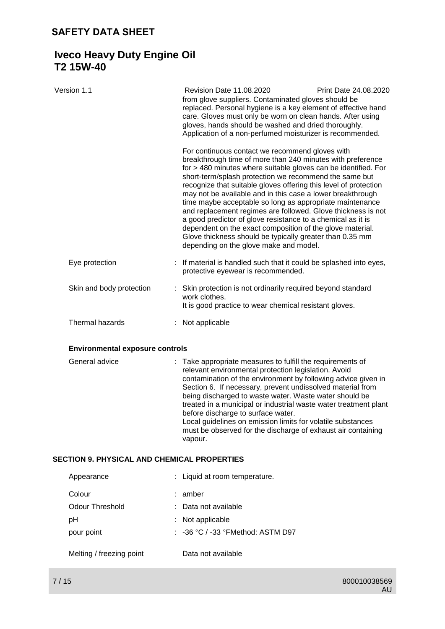# **Iveco Heavy Duty Engine Oil T2 15W-40**

| Version 1.1                            | <b>Revision Date 11.08.2020</b>                                                                                                                                                                                                                                                                                                                                                                                                                                                                                                                                                                                                                                                                                                           | Print Date 24.08.2020 |
|----------------------------------------|-------------------------------------------------------------------------------------------------------------------------------------------------------------------------------------------------------------------------------------------------------------------------------------------------------------------------------------------------------------------------------------------------------------------------------------------------------------------------------------------------------------------------------------------------------------------------------------------------------------------------------------------------------------------------------------------------------------------------------------------|-----------------------|
|                                        | from glove suppliers. Contaminated gloves should be<br>replaced. Personal hygiene is a key element of effective hand<br>care. Gloves must only be worn on clean hands. After using<br>gloves, hands should be washed and dried thoroughly.<br>Application of a non-perfumed moisturizer is recommended.                                                                                                                                                                                                                                                                                                                                                                                                                                   |                       |
|                                        | For continuous contact we recommend gloves with<br>breakthrough time of more than 240 minutes with preference<br>for > 480 minutes where suitable gloves can be identified. For<br>short-term/splash protection we recommend the same but<br>recognize that suitable gloves offering this level of protection<br>may not be available and in this case a lower breakthrough<br>time maybe acceptable so long as appropriate maintenance<br>and replacement regimes are followed. Glove thickness is not<br>a good predictor of glove resistance to a chemical as it is<br>dependent on the exact composition of the glove material.<br>Glove thickness should be typically greater than 0.35 mm<br>depending on the glove make and model. |                       |
| Eye protection                         | If material is handled such that it could be splashed into eyes,<br>protective eyewear is recommended.                                                                                                                                                                                                                                                                                                                                                                                                                                                                                                                                                                                                                                    |                       |
| Skin and body protection               | Skin protection is not ordinarily required beyond standard<br>work clothes.<br>It is good practice to wear chemical resistant gloves.                                                                                                                                                                                                                                                                                                                                                                                                                                                                                                                                                                                                     |                       |
| Thermal hazards                        | Not applicable                                                                                                                                                                                                                                                                                                                                                                                                                                                                                                                                                                                                                                                                                                                            |                       |
| <b>Environmental exposure controls</b> |                                                                                                                                                                                                                                                                                                                                                                                                                                                                                                                                                                                                                                                                                                                                           |                       |
| General advice                         | : Take appropriate measures to fulfill the requirements of<br>relevant environmental protection legislation. Avoid<br>contamination of the environment by following advice given in                                                                                                                                                                                                                                                                                                                                                                                                                                                                                                                                                       |                       |

Section 6. If necessary, prevent undissolved material from being discharged to waste water. Waste water should be treated in a municipal or industrial waste water treatment plant

Local guidelines on emission limits for volatile substances must be observed for the discharge of exhaust air containing

before discharge to surface water.

# **SECTION 9. PHYSICAL AND CHEMICAL PROPERTIES**

| Appearance               | : Liquid at room temperature.     |
|--------------------------|-----------------------------------|
| Colour                   | : amber                           |
| Odour Threshold          | : Data not available              |
| pH                       | $:$ Not applicable                |
| pour point               | : -36 °C / -33 °FMethod: ASTM D97 |
| Melting / freezing point | Data not available                |

vapour.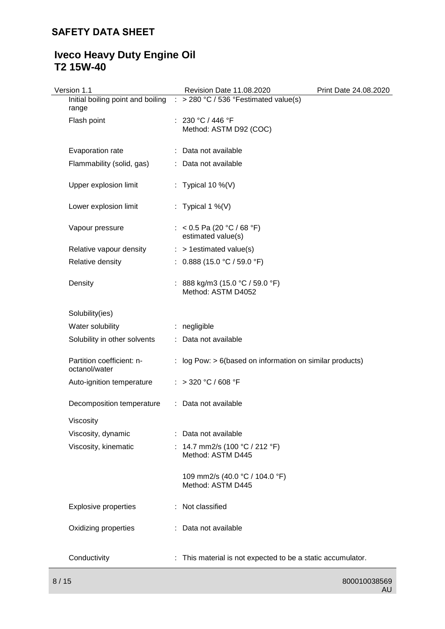# **Iveco Heavy Duty Engine Oil T2 15W-40**

| Version 1.1                                | Revision Date 11.08.2020                                                           | Print Date 24.08.2020 |
|--------------------------------------------|------------------------------------------------------------------------------------|-----------------------|
| range                                      | Initial boiling point and boiling $\therefore$ > 280 °C / 536 °Festimated value(s) |                       |
| Flash point                                | : $230 °C / 446 °F$<br>Method: ASTM D92 (COC)                                      |                       |
| Evaporation rate                           | : Data not available                                                               |                       |
| Flammability (solid, gas)                  | : Data not available                                                               |                       |
| Upper explosion limit                      | : Typical 10 %(V)                                                                  |                       |
| Lower explosion limit                      | : Typical 1 %(V)                                                                   |                       |
| Vapour pressure                            | : < 0.5 Pa (20 °C / 68 °F)<br>estimated value(s)                                   |                       |
| Relative vapour density                    | $:$ > 1 estimated value(s)                                                         |                       |
| Relative density                           | : $0.888$ (15.0 °C / 59.0 °F)                                                      |                       |
| Density                                    | : 888 kg/m3 (15.0 °C / 59.0 °F)<br>Method: ASTM D4052                              |                       |
| Solubility(ies)                            |                                                                                    |                       |
| Water solubility                           | : negligible                                                                       |                       |
| Solubility in other solvents               | : Data not available                                                               |                       |
| Partition coefficient: n-<br>octanol/water | : log Pow: $> 6$ (based on information on similar products)                        |                       |
| Auto-ignition temperature                  | : > 320 °C / 608 °F                                                                |                       |
| Decomposition temperature                  | : Data not available                                                               |                       |
| Viscosity                                  |                                                                                    |                       |
| Viscosity, dynamic                         | : Data not available                                                               |                       |
| Viscosity, kinematic                       | 14.7 mm2/s (100 °C / 212 °F)<br>Method: ASTM D445                                  |                       |
|                                            | 109 mm2/s (40.0 °C / 104.0 °F)<br>Method: ASTM D445                                |                       |
| <b>Explosive properties</b>                | : Not classified                                                                   |                       |
| Oxidizing properties                       | : Data not available                                                               |                       |
| Conductivity                               | : This material is not expected to be a static accumulator.                        |                       |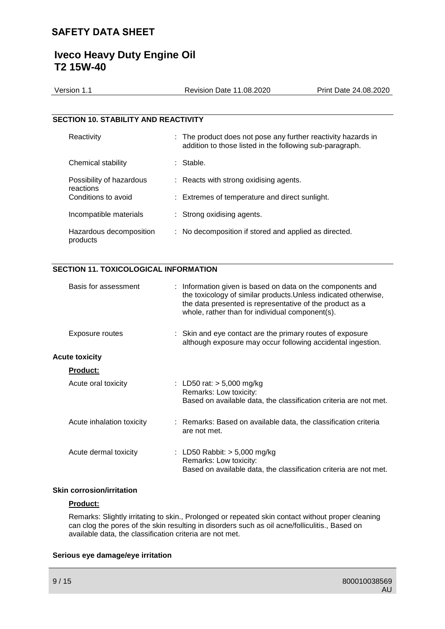# **Iveco Heavy Duty Engine Oil T2 15W-40**

| Version 1.1                                 | Revision Date 11,08,2020                                                                                                  | Print Date 24.08.2020 |
|---------------------------------------------|---------------------------------------------------------------------------------------------------------------------------|-----------------------|
|                                             |                                                                                                                           |                       |
| <b>SECTION 10. STABILITY AND REACTIVITY</b> |                                                                                                                           |                       |
| Reactivity                                  | : The product does not pose any further reactivity hazards in<br>addition to those listed in the following sub-paragraph. |                       |

| Chemical stability                    | : Stable.                                             |
|---------------------------------------|-------------------------------------------------------|
| Possibility of hazardous<br>reactions | : Reacts with strong oxidising agents.                |
| Conditions to avoid                   | : Extremes of temperature and direct sunlight.        |
| Incompatible materials                | : Strong oxidising agents.                            |
| Hazardous decomposition<br>products   | : No decomposition if stored and applied as directed. |

## **SECTION 11. TOXICOLOGICAL INFORMATION**

| Basis for assessment      | : Information given is based on data on the components and<br>the toxicology of similar products. Unless indicated otherwise,<br>the data presented is representative of the product as a<br>whole, rather than for individual component(s). |
|---------------------------|----------------------------------------------------------------------------------------------------------------------------------------------------------------------------------------------------------------------------------------------|
| Exposure routes           | : Skin and eye contact are the primary routes of exposure<br>although exposure may occur following accidental ingestion.                                                                                                                     |
| <b>Acute toxicity</b>     |                                                                                                                                                                                                                                              |
| <b>Product:</b>           |                                                                                                                                                                                                                                              |
| Acute oral toxicity       | : LD50 rat: $> 5,000$ mg/kg<br>Remarks: Low toxicity:<br>Based on available data, the classification criteria are not met.                                                                                                                   |
| Acute inhalation toxicity | : Remarks: Based on available data, the classification criteria<br>are not met.                                                                                                                                                              |
| Acute dermal toxicity     | : LD50 Rabbit: $>$ 5,000 mg/kg<br>Remarks: Low toxicity:<br>Based on available data, the classification criteria are not met.                                                                                                                |

## **Skin corrosion/irritation**

## **Product:**

Remarks: Slightly irritating to skin., Prolonged or repeated skin contact without proper cleaning can clog the pores of the skin resulting in disorders such as oil acne/folliculitis., Based on available data, the classification criteria are not met.

## **Serious eye damage/eye irritation**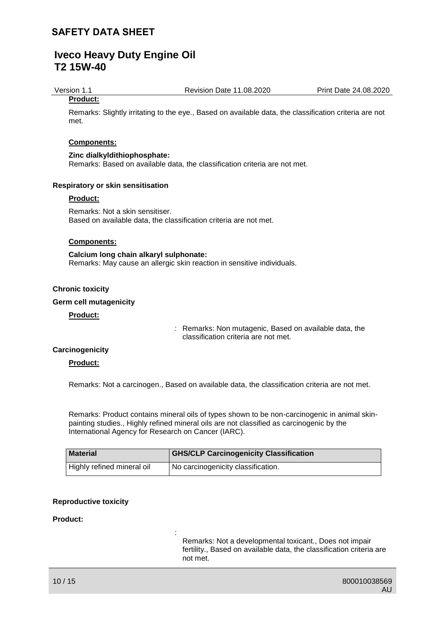Version 1.1 Revision Date 11.08.2020 Print Date 24.08.2020

## **Product:**

Remarks: Slightly irritating to the eye., Based on available data, the classification criteria are not met.

### **Components:**

### **Zinc dialkyldithiophosphate:**

Remarks: Based on available data, the classification criteria are not met.

### **Respiratory or skin sensitisation**

### **Product:**

Remarks: Not a skin sensitiser. Based on available data, the classification criteria are not met.

### **Components:**

### **Calcium long chain alkaryl sulphonate:** Remarks: May cause an allergic skin reaction in sensitive individuals.

:

### **Chronic toxicity**

### **Germ cell mutagenicity**

### **Product:**

: Remarks: Non mutagenic, Based on available data, the classification criteria are not met.

### **Carcinogenicity**

## **Product:**

Remarks: Not a carcinogen., Based on available data, the classification criteria are not met.

Remarks: Product contains mineral oils of types shown to be non-carcinogenic in animal skinpainting studies., Highly refined mineral oils are not classified as carcinogenic by the International Agency for Research on Cancer (IARC).

| <b>Material</b>            | <b>GHS/CLP Carcinogenicity Classification</b> |
|----------------------------|-----------------------------------------------|
| Highly refined mineral oil | I No carcinogenicity classification.          |

#### **Reproductive toxicity**

#### **Product:**

Remarks: Not a developmental toxicant., Does not impair fertility., Based on available data, the classification criteria are not met.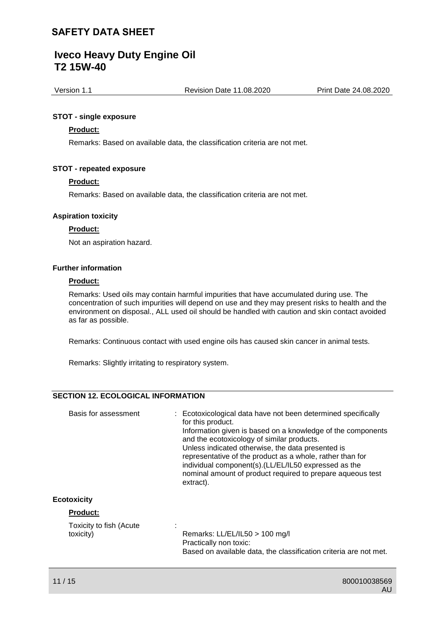# **Iveco Heavy Duty Engine Oil T2 15W-40**

Version 1.1 Revision Date 11.08.2020 Print Date 24.08.2020

### **STOT - single exposure**

### **Product:**

Remarks: Based on available data, the classification criteria are not met.

### **STOT - repeated exposure**

### **Product:**

Remarks: Based on available data, the classification criteria are not met.

### **Aspiration toxicity**

### **Product:**

Not an aspiration hazard.

### **Further information**

### **Product:**

Remarks: Used oils may contain harmful impurities that have accumulated during use. The concentration of such impurities will depend on use and they may present risks to health and the environment on disposal., ALL used oil should be handled with caution and skin contact avoided as far as possible.

Remarks: Continuous contact with used engine oils has caused skin cancer in animal tests.

Remarks: Slightly irritating to respiratory system.

## **SECTION 12. ECOLOGICAL INFORMATION**

| Basis for assessment                 | : Ecotoxicological data have not been determined specifically<br>for this product.<br>Information given is based on a knowledge of the components<br>and the ecotoxicology of similar products.<br>Unless indicated otherwise, the data presented is<br>representative of the product as a whole, rather than for<br>individual component(s). (LL/EL/IL50 expressed as the<br>nominal amount of product required to prepare aqueous test<br>extract). |
|--------------------------------------|-------------------------------------------------------------------------------------------------------------------------------------------------------------------------------------------------------------------------------------------------------------------------------------------------------------------------------------------------------------------------------------------------------------------------------------------------------|
| <b>Ecotoxicity</b>                   |                                                                                                                                                                                                                                                                                                                                                                                                                                                       |
| <b>Product:</b>                      |                                                                                                                                                                                                                                                                                                                                                                                                                                                       |
| Toxicity to fish (Acute<br>toxicity) | Remarks: LL/EL/IL50 > 100 mg/l<br>Practically non toxic:<br>Based on available data, the classification criteria are not met.                                                                                                                                                                                                                                                                                                                         |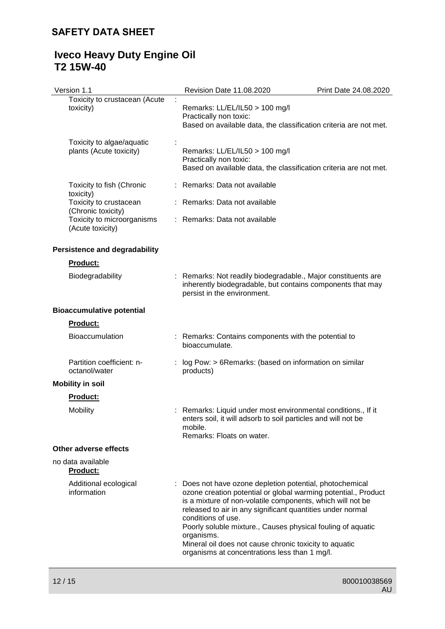# **Iveco Heavy Duty Engine Oil T2 15W-40**

| Version 1.1                                               | Revision Date 11.08.2020                                                                                                                                                                                                                                                                                                                                                                                                                                             | Print Date 24.08.2020 |
|-----------------------------------------------------------|----------------------------------------------------------------------------------------------------------------------------------------------------------------------------------------------------------------------------------------------------------------------------------------------------------------------------------------------------------------------------------------------------------------------------------------------------------------------|-----------------------|
| Toxicity to crustacean (Acute<br>toxicity)                | Remarks: LL/EL/IL50 > 100 mg/l<br>Practically non toxic:<br>Based on available data, the classification criteria are not met.                                                                                                                                                                                                                                                                                                                                        |                       |
| Toxicity to algae/aquatic<br>plants (Acute toxicity)      | Remarks: LL/EL/IL50 > 100 mg/l<br>Practically non toxic:<br>Based on available data, the classification criteria are not met.                                                                                                                                                                                                                                                                                                                                        |                       |
| Toxicity to fish (Chronic                                 | : Remarks: Data not available                                                                                                                                                                                                                                                                                                                                                                                                                                        |                       |
| toxicity)<br>Toxicity to crustacean<br>(Chronic toxicity) | : Remarks: Data not available                                                                                                                                                                                                                                                                                                                                                                                                                                        |                       |
| Toxicity to microorganisms<br>(Acute toxicity)            | : Remarks: Data not available                                                                                                                                                                                                                                                                                                                                                                                                                                        |                       |
| <b>Persistence and degradability</b>                      |                                                                                                                                                                                                                                                                                                                                                                                                                                                                      |                       |
| <b>Product:</b>                                           |                                                                                                                                                                                                                                                                                                                                                                                                                                                                      |                       |
| Biodegradability                                          | : Remarks: Not readily biodegradable., Major constituents are<br>inherently biodegradable, but contains components that may<br>persist in the environment.                                                                                                                                                                                                                                                                                                           |                       |
| <b>Bioaccumulative potential</b>                          |                                                                                                                                                                                                                                                                                                                                                                                                                                                                      |                       |
| <b>Product:</b>                                           |                                                                                                                                                                                                                                                                                                                                                                                                                                                                      |                       |
| <b>Bioaccumulation</b>                                    | : Remarks: Contains components with the potential to<br>bioaccumulate.                                                                                                                                                                                                                                                                                                                                                                                               |                       |
| Partition coefficient: n-<br>octanol/water                | log Pow: > 6Remarks: (based on information on similar<br>products)                                                                                                                                                                                                                                                                                                                                                                                                   |                       |
| <b>Mobility in soil</b>                                   |                                                                                                                                                                                                                                                                                                                                                                                                                                                                      |                       |
| <b>Product:</b>                                           |                                                                                                                                                                                                                                                                                                                                                                                                                                                                      |                       |
| <b>Mobility</b>                                           | : Remarks: Liquid under most environmental conditions., If it<br>enters soil, it will adsorb to soil particles and will not be<br>mobile.<br>Remarks: Floats on water.                                                                                                                                                                                                                                                                                               |                       |
| Other adverse effects                                     |                                                                                                                                                                                                                                                                                                                                                                                                                                                                      |                       |
| no data available<br><b>Product:</b>                      |                                                                                                                                                                                                                                                                                                                                                                                                                                                                      |                       |
| Additional ecological<br>information                      | : Does not have ozone depletion potential, photochemical<br>ozone creation potential or global warming potential., Product<br>is a mixture of non-volatile components, which will not be<br>released to air in any significant quantities under normal<br>conditions of use.<br>Poorly soluble mixture., Causes physical fouling of aquatic<br>organisms.<br>Mineral oil does not cause chronic toxicity to aquatic<br>organisms at concentrations less than 1 mg/l. |                       |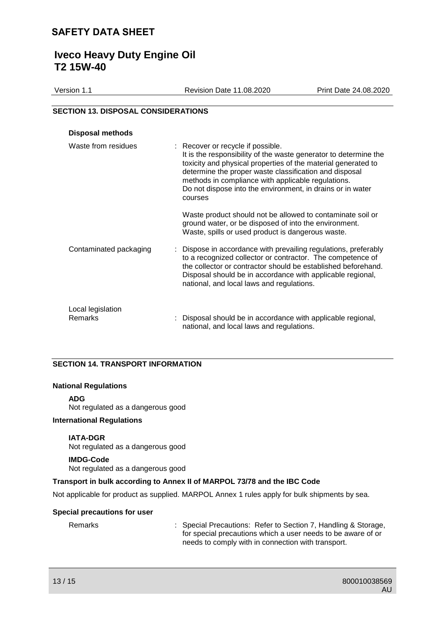# **Iveco Heavy Duty Engine Oil T2 15W-40**

| Version 1.1                                | <b>Revision Date 11.08.2020</b> | Print Date 24.08.2020 |
|--------------------------------------------|---------------------------------|-----------------------|
|                                            |                                 |                       |
| <b>SECTION 13. DISPOSAL CONSIDERATIONS</b> |                                 |                       |

# **Disposal methods** Waste from residues : Recover or recycle if possible. It is the responsibility of the waste generator to determine the toxicity and physical properties of the material generated to determine the proper waste classification and disposal methods in compliance with applicable regulations. Do not dispose into the environment, in drains or in water courses Waste product should not be allowed to contaminate soil or ground water, or be disposed of into the environment. Waste, spills or used product is dangerous waste. Contaminated packaging : Dispose in accordance with prevailing regulations, preferably to a recognized collector or contractor. The competence of the collector or contractor should be established beforehand. Disposal should be in accordance with applicable regional, national, and local laws and regulations. Local legislation Remarks : Disposal should be in accordance with applicable regional, national, and local laws and regulations.

## **SECTION 14. TRANSPORT INFORMATION**

#### **National Regulations**

**ADG**

Not regulated as a dangerous good

### **International Regulations**

#### **IATA-DGR**

Not regulated as a dangerous good

#### **IMDG-Code**

Not regulated as a dangerous good

#### **Transport in bulk according to Annex II of MARPOL 73/78 and the IBC Code**

Not applicable for product as supplied. MARPOL Annex 1 rules apply for bulk shipments by sea.

#### **Special precautions for user**

Remarks : Special Precautions: Refer to Section 7, Handling & Storage, for special precautions which a user needs to be aware of or needs to comply with in connection with transport.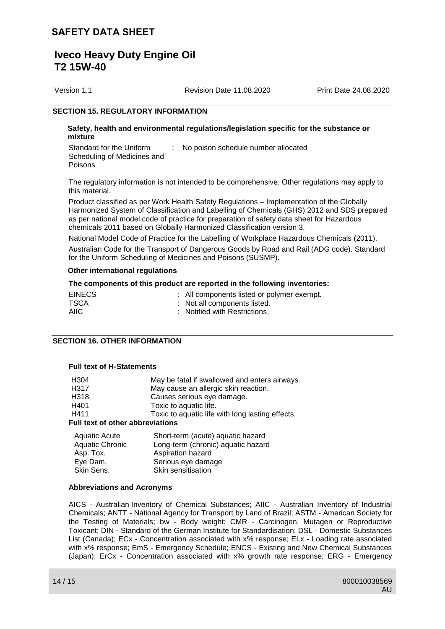# **Iveco Heavy Duty Engine Oil T2 15W-40**

Version 1.1 Revision Date 11.08.2020 Print Date 24.08.2020

### **SECTION 15. REGULATORY INFORMATION**

#### **Safety, health and environmental regulations/legislation specific for the substance or mixture**

Standard for the Uniform Scheduling of Medicines and Poisons : No poison schedule number allocated

The regulatory information is not intended to be comprehensive. Other regulations may apply to this material.

Product classified as per Work Health Safety Regulations – Implementation of the Globally Harmonized System of Classification and Labelling of Chemicals (GHS) 2012 and SDS prepared as per national model code of practice for preparation of safety data sheet for Hazardous chemicals 2011 based on Globally Harmonized Classification version 3.

National Model Code of Practice for the Labelling of Workplace Hazardous Chemicals (2011).

Australian Code for the Transport of Dangerous Goods by Road and Rail (ADG code). Standard for the Uniform Scheduling of Medicines and Poisons (SUSMP).

#### **Other international regulations**

### **The components of this product are reported in the following inventories:**

| <b>EINECS</b> | : All components listed or polymer exempt. |
|---------------|--------------------------------------------|
| TSCA          | : Not all components listed.               |
| AIIC          | : Notified with Restrictions.              |

## **SECTION 16. OTHER INFORMATION**

### **Full text of H-Statements**

| H304                                    | May be fatal if swallowed and enters airways.                                                                |  |
|-----------------------------------------|--------------------------------------------------------------------------------------------------------------|--|
| H <sub>317</sub>                        | May cause an allergic skin reaction.                                                                         |  |
| H318                                    | Causes serious eye damage.                                                                                   |  |
| H401                                    | Toxic to aquatic life.                                                                                       |  |
| H411                                    | Toxic to aquatic life with long lasting effects.                                                             |  |
| <b>Full text of other abbreviations</b> |                                                                                                              |  |
|                                         | $\bullet$ be a set of $\bullet$ and $\bullet$ and $\bullet$ are a set of $\bullet$ . In the set of $\bullet$ |  |

| Aquatic Acute          | Short-term (acute) aquatic hazard  |
|------------------------|------------------------------------|
| <b>Aquatic Chronic</b> | Long-term (chronic) aquatic hazard |
| Asp. Tox.              | Aspiration hazard                  |
| Eye Dam.               | Serious eye damage                 |
| Skin Sens.             | Skin sensitisation                 |
|                        |                                    |

#### **Abbreviations and Acronyms**

AICS - Australian Inventory of Chemical Substances; AIIC - Australian Inventory of Industrial Chemicals; ANTT - National Agency for Transport by Land of Brazil; ASTM - American Society for the Testing of Materials; bw - Body weight; CMR - Carcinogen, Mutagen or Reproductive Toxicant; DIN - Standard of the German Institute for Standardisation; DSL - Domestic Substances List (Canada); ECx - Concentration associated with x% response; ELx - Loading rate associated with x% response; EmS - Emergency Schedule; ENCS - Existing and New Chemical Substances (Japan); ErCx - Concentration associated with x% growth rate response; ERG - Emergency